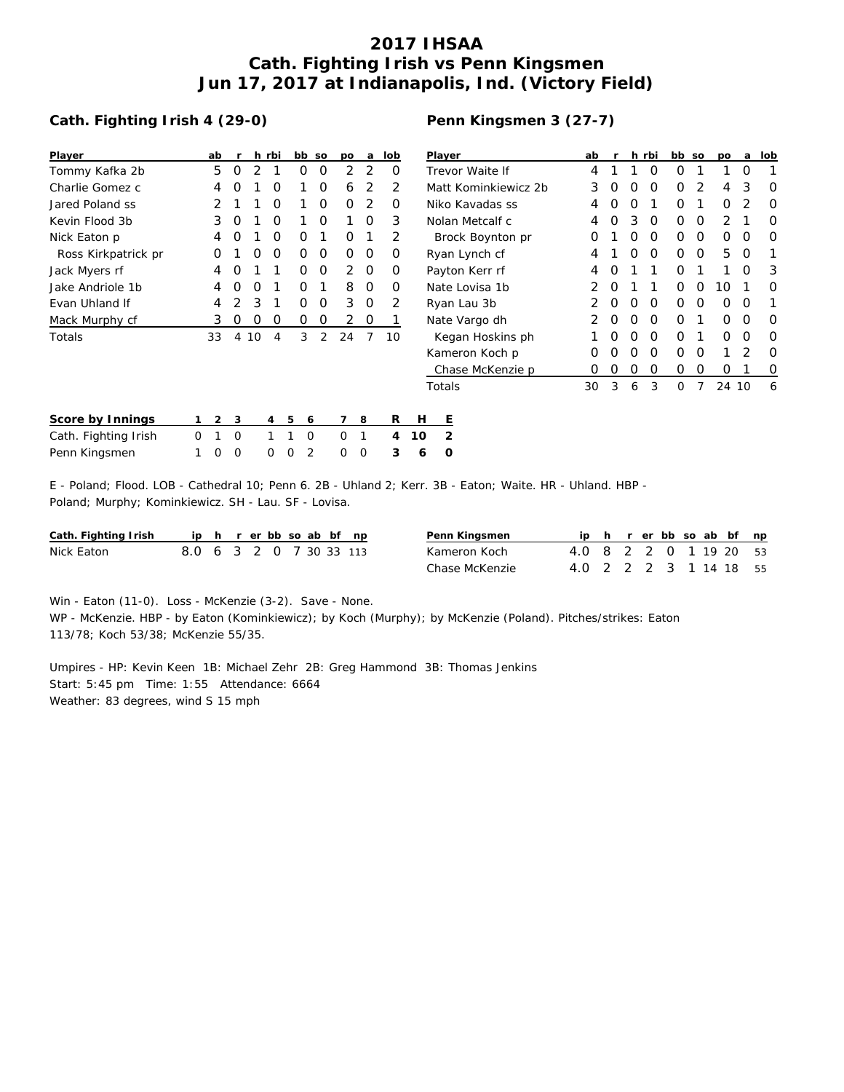## **2017 IHSAA Cath. Fighting Irish vs Penn Kingsmen Jun 17, 2017 at Indianapolis, Ind. (Victory Field)**

## **Cath. Fighting Irish 4 (29-0)**

| Player                | ab               | r                |    | h rbi | bb | <b>SO</b>     | po            | a             | lob |
|-----------------------|------------------|------------------|----|-------|----|---------------|---------------|---------------|-----|
| Tommy Kafka 2b        | 5                | Ω                | 2  | 1     | Ω  | O             | 2             | 2             | O   |
| Charlie Gomez c       | 4                | Ω                | 1  | Ο     | 1  | O             | 6             | 2             | 2   |
| Jared Poland ss       | 2                | 1                | 1  | Ω     | 1  | O             | Ω             | $\mathcal{P}$ | O   |
| Kevin Flood 3b        | 3                | Ω                | 1  | ∩     | 1  | O             | 1             | O             | 3   |
| Nick Eaton p          | 4                | O                | 1  | Ω     | Ω  | 1             | Ο             | 1             | 2   |
| Ross Kirkpatrick pr   | $\left( \right)$ | 1                | Ω  | Ω     | Ω  | O             | Ω             | O             | O   |
| Jack Myers rf         | 4                | Ω                | 1  | 1     | Ω  | O             | $\mathcal{P}$ | O             | Ω   |
| Jake Andriole 1b      | 4                | O                | O  | 1     | Ω  | 1             | 8             | O             | Ω   |
| <b>Fvan Uhland If</b> | 4                | $\mathcal{D}$    | 3  | 1     | Ω  | O             | 3             | O             | 2   |
| Mack Murphy cf        | 3                | $\left( \right)$ | Ω  | Ω     | Ω  | O             | 2             | Ω             |     |
| Totals                | 33               | 4                | 10 | 4     | 3  | $\mathcal{P}$ | 24            | 7             | 10  |
|                       |                  |                  |    |       |    |               |               |               |     |
|                       |                  |                  |    |       |    |               |               |               |     |

## **Penn Kingsmen 3 (27-7)**

| Player               | ab               | r | h. | rbi | bb       | SO | po            | a             | lob |
|----------------------|------------------|---|----|-----|----------|----|---------------|---------------|-----|
| Trevor Waite If      | 4                | 1 | 1  | Ω   | Ω        | 1  | 1             | Ω             | 1   |
| Matt Kominkiewicz 2b | 3                | Ω | Ω  | O   | Ω        | 2  | 4             | 3             | Ω   |
| Niko Kavadas ss      | 4                | Ο | Ο  | 1   | Ο        | 1  | ი             | 2             | Ω   |
| Nolan Metcalf c      | 4                | O | 3  | O   | Ω        | O  | $\mathcal{P}$ | 1             | Ω   |
| Brock Boynton pr     | Ω                | 1 | Ο  | O   | Ο        | Ω  | Ω             | O             | O   |
| Ryan Lynch cf        | 4                | 1 | Ω  | O   | Ω        | O  | 5             | 0             |     |
| Payton Kerr rf       | 4                | 0 | 1  | 1   | Ω        | 1  | 1             | Ω             | 3   |
| Nate Lovisa 1b       | 2                | O | 1  | 1   | Ω        | O  | 10            | 1             | Ω   |
| Ryan Lau 3b          | 2                | O | Ω  | O   | Ω        | O  | ი             | 0             | 1   |
| Nate Vargo dh        | 2                | O | Ω  | O   | Ω        | 1  | Ω             | 0             | Ω   |
| Kegan Hoskins ph     | 1                | O | Ο  | O   | Ω        | 1  | Ω             | 0             | Ω   |
| Kameron Koch p       | Ω                | O | Ω  | O   | Ω        | O  | 1             | $\mathcal{P}$ | Ω   |
| Chase McKenzie p     | $\left( \right)$ | Ο | 0  | Ο   | Ο        | 0  | ი             | 1             | O   |
| Totals               | 30               | 3 | 6  | 3   | $\Omega$ | 7  | 24            | 10            | 6   |

| Score by Innings     | $1 \t2 \t3$ |     |  | 4 5 6               | 7 8 |              | R                   |        |    |
|----------------------|-------------|-----|--|---------------------|-----|--------------|---------------------|--------|----|
| Cath. Fighting Irish | 0 1 0       |     |  | 1 1 0               |     | $\bigcirc$ 1 |                     | 4 10 2 |    |
| Penn Kingsmen        |             | 100 |  | $0 \quad 0 \quad 2$ |     |              | $0 \quad 0 \quad 3$ |        | 60 |

E - Poland; Flood. LOB - Cathedral 10; Penn 6. 2B - Uhland 2; Kerr. 3B - Eaton; Waite. HR - Uhland. HBP - Poland; Murphy; Kominkiewicz. SH - Lau. SF - Lovisa.

| Cath. Fighting Irish |                         |  | ip h r erbb so ab bf np |  |  |  | Penn Kingsmen  |                        |  |  |  | ip h r er bb so ab bf np |  |
|----------------------|-------------------------|--|-------------------------|--|--|--|----------------|------------------------|--|--|--|--------------------------|--|
| Nick Eaton           | 8.0 6 3 2 0 7 30 33 113 |  |                         |  |  |  | Kameron Koch   | 4.0 8 2 2 0 1 19 20 53 |  |  |  |                          |  |
|                      |                         |  |                         |  |  |  | Chase McKenzie | 4.0 2 2 2 3 1 14 18 55 |  |  |  |                          |  |

Win - Eaton (11-0). Loss - McKenzie (3-2). Save - None.

WP - McKenzie. HBP - by Eaton (Kominkiewicz); by Koch (Murphy); by McKenzie (Poland). Pitches/strikes: Eaton 113/78; Koch 53/38; McKenzie 55/35.

Umpires - HP: Kevin Keen 1B: Michael Zehr 2B: Greg Hammond 3B: Thomas Jenkins Start: 5:45 pm Time: 1:55 Attendance: 6664 Weather: 83 degrees, wind S 15 mph